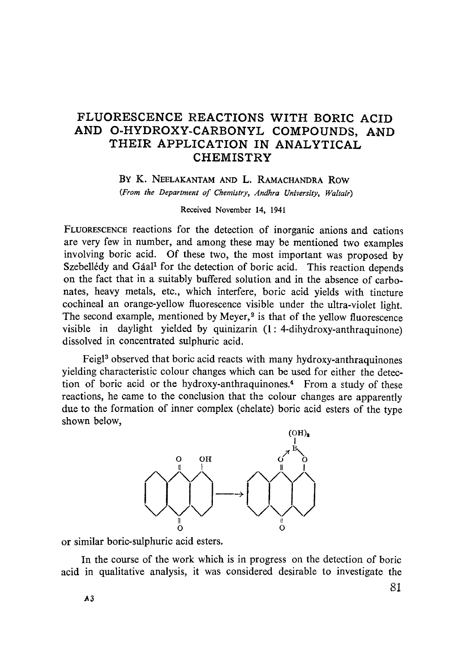## FLUORESCENCE REACTIONS WlTH BORIC ACID AND O-HYDROXY-CARBONYL COMPOUNDS, AND THEIR APPLICATION IN ANALYTICAL **CHEMISTRY**

BY K. NEELAKANTAM AND L. RAMACHANDRA ROW *(From the Department of Chemistry, Andhra University, Waltair)* 

Received November 14, 1941

FLUORESCENCE reactions for the detection of inorganic anions and cations are very few in number, and among these may be mentioned two examples involving boric acid. Of these two, the most important was proposed by Szebellédy and Gáal<sup>1</sup> for the detection of boric acid. This reaction depends on the fact that in a suitably buffered solution and in the absence of carbonates, heavy metals, etc., which interfere, boric acid yields with tincture cochineal an orange-yellow fluorescence visible under the ultra-violet light. The second example, mentioned by Meyer,<sup>2</sup> is that of the yellow fluorescence visible in daylight yielded by quinizarin (1: 4-dihydroxy-anthraquinone) dissolved in concentrated sulphuric acid.

Feigl<sup>3</sup> observed that boric acid reacts with many hydroxy-anthraquinones yielding characteristic colour changes which can be used for either the detection of boric acid or the hydroxy-anthraquinones.<sup>4</sup> From a study of these reactions, he came to the conclusion that the colour changes are apparently due to the formation of inner complex (ehelate) boric acid esters of the type shown below,



or similar boric-sulphuric acid esters.

In the course of the work which is in progress on the detection of boric acid in qualitative analysis, it was considered desirable to investigate the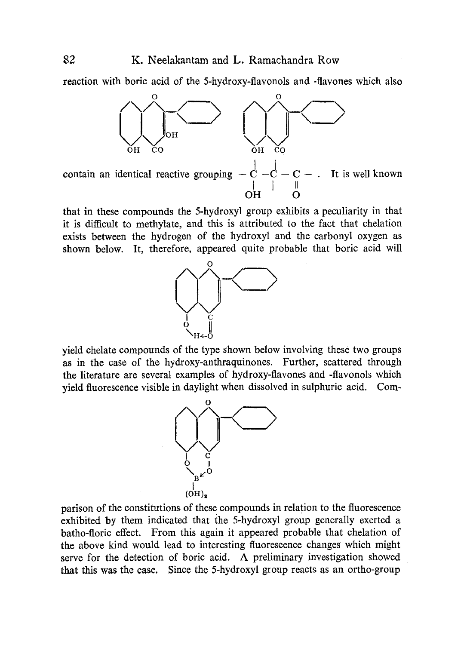reaction with boric acid of the 5-hydroxy-flavonols and -flavones which also



that in these compounds the 5-hydroxyl group exhibits a peculiarity in that it is difficult to methylate, and this is attributed to the fact that chelation exists between the hydrogen of the hydroxyl and the carbonyl oxygen as shown below. It, therefore, appeared quite probable that boric acid will



yield chelate compounds of the type shown below involving these two groups as in the case of the hydroxy-anthraquinones. Further, scattered through the literature are several examples of hydroxy-flavones and -flavonols which yield fluorescence visible in daylight when dissolved in sulphuric acid. Com-



parison of the constitutions of these compounds in relation to the fluorescence exhibited by them indieated that the 5-hydroxyl group generally exerted a batho-floric effect. From this again it appeared probable that chelation of the above kind would lead to interesting fluorescence changes which might serve for the detection of boric acid. A preliminary investigation showed that this was the case. Since the 5-hydroxyl group reacts as an ortho-group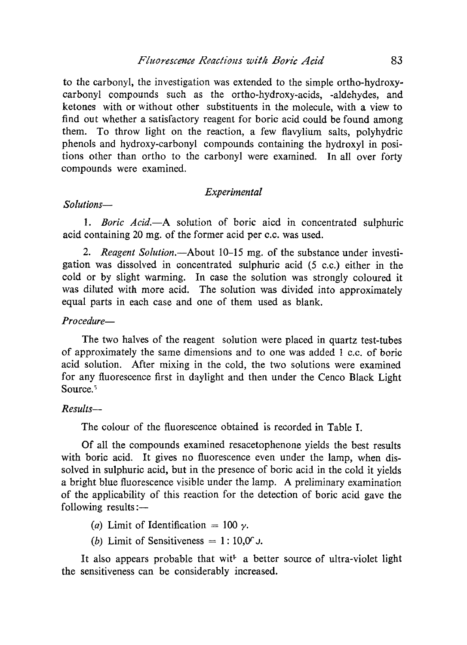to the carbonyl, the investigation was extended to the simple ortho-hydroxycarbonyl compounds such as the ortho-hydroxy-acids, -aldehydes, and ketones with or without other substituents in the molecule, with a view to find out whether a satisfactory reagent for boric acid could be found among them. To throw light on the reaction, a few flavylium salts, polyhydric phenols and hydroxy-carbonyl compounds containing the hydroxyl in positions other than ortho to the carbonyl were examined. In all over forty compounds were examined.

### *Experimental*

### *Solutions--*

1. *Boric Acid.*--A solution of boric aicd in concentrated sulphuric acid containing 20 mg. of the former acid per c.c. was used.

2. *Reagent Solution.*—About 10–15 mg. of the substance under investigation was dissolved in concentrated sulphuric acid (5 c.c.) either in the cold or by slight warming. In case the solution was strongly coloured it was diluted with more acid. The solution was divided into approximately equal parts in each case and one of them used as blank.

## *Pro cedure--*

The two halves of the reagent solution were placed in quartz test-tubes of approximately the same dimensions and to one was added 1 c.c. of boric acid solution. After mixing in the cold, the two solutions were examined for any fluorescence first in daylight and then under the Cenco Black Light Source.<sup>5</sup>

## *Results--*

The colour of the fluorescence obtained is recorded in Table I.

Of all the compounds examined resacetophenone yields the best results with boric acid. It gives no fluorescence even under the lamp, when dissolved in sulphuric acid, but in the presence of boric acid in the cold it yields a bright blue fluorescence visible under the lamp. A preliminary examination of the applicability of this reaction for the detection of boric acid gave the following results : $-$ 

- (a) Limit of Identification  $= 100$  y.
- (b) Limit of Sensitiveness =  $1:10,0<sup>c</sup>$ .

It also appears probable that with a better source of ultra-violet light the sensitiveness can be considerably increased.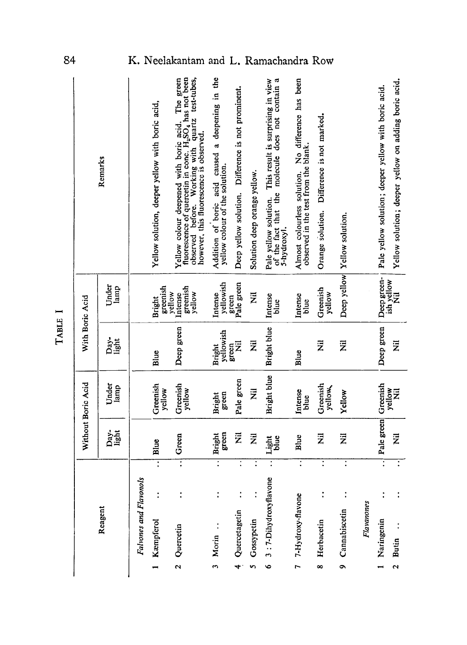| ٠       |  |
|---------|--|
| L<br>٠, |  |
| t       |  |
| ł<br>I  |  |
|         |  |
| ۳       |  |

|                      |                        |                    |                           | Without Boric Acid  | With Boric Acid           |                                         |                                                                                                                                                                                                                                       |
|----------------------|------------------------|--------------------|---------------------------|---------------------|---------------------------|-----------------------------------------|---------------------------------------------------------------------------------------------------------------------------------------------------------------------------------------------------------------------------------------|
|                      | Reagent                |                    | Day-<br>light             | Under<br>lamp       | Day.<br>Light             | Under<br>lamp                           | Remarks                                                                                                                                                                                                                               |
|                      | Falvones and Flavonols |                    |                           |                     |                           |                                         |                                                                                                                                                                                                                                       |
|                      | Kæmpferol              | $\overline{\cdot}$ | Blue                      | Greenish<br>yellow  | Blue                      | greenish<br>Bright                      | Yellow solution, deeper yellow with boric acid,                                                                                                                                                                                       |
| $\mathbf{\Omega}$    | Quercetin              | $\overline{\cdot}$ | Green                     | Greenish<br>yellow  | Deep green                | greenish<br>yellow<br>yellow<br>Intense | fluorescence of quercetin in conc. H <sub>2</sub> SO <sub>4</sub> has not been<br>The green<br>observed before. Working with quartz test-tubes,<br>Yellow colour deepened with boric acid.<br>however, this fluorescence is observed. |
| $\ddot{\phantom{1}}$ | Morin                  | $\overline{\cdot}$ | green<br>Bright           | green<br>Bright     | yellowish<br>Bright       | yellowish<br>Intense                    | Addition of boric acid caused a deepening in the<br>yellow colour of the solution.                                                                                                                                                    |
| 4                    | Quercetagetin          |                    | Ż                         | Pale green          | <b>Z</b><br>green         | Pale green<br>green                     | Deep yellow solution. Difference is not prominent.                                                                                                                                                                                    |
|                      | 5 Gossypetin           | $\ddot{\cdot}$     | $\overline{\overline{z}}$ | ž                   | $\overline{\overline{z}}$ | E                                       | Solution deep orange yellow.                                                                                                                                                                                                          |
| $\bullet$            | 3:7-Dihydroxyflavone   | Ξ                  | blue<br>Light             | Bright blue         | Bright blue               | Intense<br>blue                         | of the fact that the molecule does not contain a<br>Pale yellow solution. This result is surprising in view<br>5-hydroxyl.                                                                                                            |
| $\overline{ }$       | 7-Hydroxy-flavone      | $\ddot{\cdot}$     | Blue                      | Intense<br>blue     | Blue                      | Intense<br>blue                         | Almost colourless solution. No difference has been<br>observed in the test from the blank.                                                                                                                                            |
| ∞                    | Herbacetin             | $\overline{\cdot}$ | $\bar{z}$                 | Greenish<br>yellow, | Ē                         | Greenish<br>yellow                      | Difference is not marked.<br>Orange solution.                                                                                                                                                                                         |
| o                    | Cannabiscetin          | $\ddot{\cdot}$     | Ē                         | Yellow              | $\bar{z}$                 | Deep yellow                             | Yellow solution.                                                                                                                                                                                                                      |
|                      | Flavanones             |                    |                           |                     |                           |                                         |                                                                                                                                                                                                                                       |
|                      | Naringenin             | Ξ                  | Pale green                | Greenish            | Deep green                | Deep green-                             | Pale yellow solution; deeper yellow with boric acid.                                                                                                                                                                                  |
| $\ddot{\mathbf{c}}$  | Butin                  | $\ddot{\cdot}$     | $\overline{\overline{z}}$ | yellow<br>$\bar{z}$ | Ξ                         | ish yellow<br>Ξ                         | Yellow solution; deeper yellow on adding boric acid.                                                                                                                                                                                  |

84

## elakantam and L. Ramachandra Ro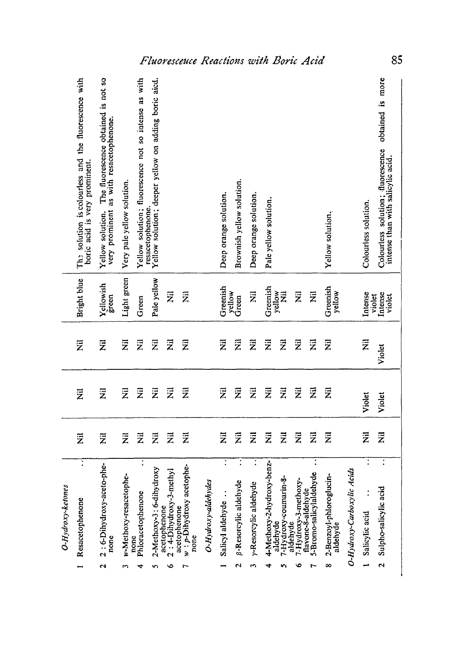| Resacetophenone                                                     | $\bar{z}$                 | $\vec{z}$                 | Ξ                         | Bright blue               | The solution is colourless and the fluorescence with                                               |
|---------------------------------------------------------------------|---------------------------|---------------------------|---------------------------|---------------------------|----------------------------------------------------------------------------------------------------|
| $\dddot{\cdot}$                                                     |                           |                           |                           |                           | boric acid is very prominent.                                                                      |
| 2:6-Dihydroxy-aceto-phe-<br>none                                    | ž                         | $\bar{z}$                 | $\overline{\overline{z}}$ | Yellowish<br>green        | The fluorescence obtained is not so<br>very prominent as with resacetophenone.<br>Yellow solution. |
| w-Methoxy-resacetophe-<br>none                                      | $\overline{\overline{z}}$ | $\overline{\overline{z}}$ | ž                         | Light green               | Very pale yellow solution.                                                                         |
| $\ddot{\cdot}$<br>Phloracetophenone                                 | $\overline{\overline{z}}$ | $\overline{\overline{z}}$ | $\bar{\bar{z}}$           | Green                     | Yellow solution; fluorescence not so intense as with<br>resacetophenone.                           |
| ihydroxy<br>2-Methoxy-3: 6-d                                        | $\overline{z}$            | $\overline{\overline{z}}$ | $\overline{\overline{z}}$ | Pale yellow               | Yellow solution; deeper yellow on adding boric aicd.                                               |
| 2: 4-Dihydroxy-3-methyl<br>acetophenone<br>acetophenone             | $\overline{z}$            | $\overline{\overline{z}}$ | $\overline{\overline{z}}$ | $\overline{\overline{z}}$ |                                                                                                    |
| acetophe-<br>$w : p$ -Dihydroxy<br>none                             | 运                         | Ξ                         | Ξ                         | $\overline{\overline{z}}$ |                                                                                                    |
| O-Hydroxy-aldehydes                                                 |                           |                           |                           |                           |                                                                                                    |
| $\ddot{\cdot}$<br>Salicyl aldehyde                                  | $\overline{\overline{z}}$ | $\vec{\bar{z}}$           | $\overline{\overline{z}}$ | Greenish                  | Deep orange solution.                                                                              |
| <sup>8-Resorcylic</sup> aldehyde                                    | $\overline{\overline{z}}$ | $\bar{\bar{z}}$           | Z                         | yellow<br>Green           | Brownish yellow solution.                                                                          |
| y-Resorcylic aldehyde                                               | $\overline{z}$            | $\bar{z}$                 | Ξ                         | $\overline{\overline{z}}$ | Deep orange solution.                                                                              |
| 4-Methoxy-2-hydroxy-benz-                                           | $\overline{\overline{z}}$ | $\overline{z}$            | Ē                         | Greenish                  | Pale yellow solution                                                                               |
| 7-Hydroxy-coumarin-8-<br>aldehyde                                   | $\overline{\overline{z}}$ | $\overline{\overline{z}}$ | $\bar{z}$                 | yellow<br>$\bar{z}$       |                                                                                                    |
| hoxy-<br>7-Hydroxy-3-metl<br>aldehyde                               | $\overline{\overline{z}}$ | $\overline{z}$            | Ē                         | $\overline{\overline{z}}$ |                                                                                                    |
| $\ddot{\cdot}$<br>dehyde<br>flavone-8-aldehyde<br>5-Bromo-salicylal | $\overline{\overline{z}}$ | $\bar{z}$                 | 艺                         | ž                         |                                                                                                    |
| 2-Benzoyl-phloroglucin-<br>aldehyde                                 | $\bar{\bar{z}}$           | $\overline{\overline{z}}$ | $\bar{z}$                 | Greenish<br>yellow        | Yellow solution.                                                                                   |
| O-Hydroxy-Carboxylic Acids                                          |                           |                           |                           |                           |                                                                                                    |
| $\overline{\cdot}$<br>Salicylic acid                                | ž                         | Violet                    | $\bar{z}$                 | Intense<br>violet         | Colourless solution.                                                                               |
| 7<br>Sulpho-salicylic acid                                          | $\bar{z}$                 | Violet                    | Violet                    | Intense<br>violet         | is more<br>obtained<br>Colourless solution; fluorescence<br>intense than with salicylic acid       |

85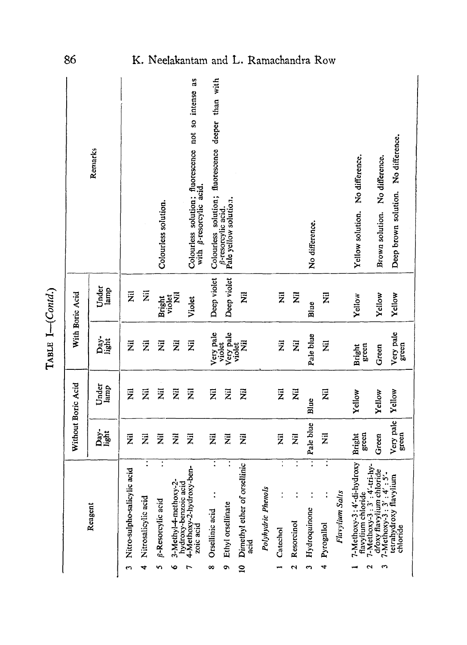| I                |
|------------------|
| ŗ<br>٦<br>ì<br>ć |

| 86                 |               |                             |                                            |                                                 |                                                    | K. Neelakantam and                                                                             |                                                    |                                                    | L. Ramachandra Row                                   |                    |                            |                                   |                                         |                                   |                 |                                                                                     |                                                                                       |                                     |
|--------------------|---------------|-----------------------------|--------------------------------------------|-------------------------------------------------|----------------------------------------------------|------------------------------------------------------------------------------------------------|----------------------------------------------------|----------------------------------------------------|------------------------------------------------------|--------------------|----------------------------|-----------------------------------|-----------------------------------------|-----------------------------------|-----------------|-------------------------------------------------------------------------------------|---------------------------------------------------------------------------------------|-------------------------------------|
|                    | Remarks       |                             |                                            | Colourless solution.                            |                                                    | as<br>a<br>Colourless solution; fluorescence not so intense<br>with <i>g</i> -resorcylic acid. | Colourless solution; fluorescence deeper than with | Pale yellow solution.<br><b>B-resorcylic acid.</b> |                                                      |                    |                            |                                   | No difference.                          |                                   |                 | No difference.<br>Yellow solution.                                                  | No difference.<br>Brown solution.                                                     | Deep brown solution. No difference. |
| With Boric Acid    | Under<br>lamp | $\overline{\overline{z}}$   | $\overline{\overline{z}}$                  | Bright                                          | ž<br>violet                                        | Violet                                                                                         | Deep violet                                        | Deep violet                                        | $\vec{z}$                                            |                    | $\bar{z}$                  | $\ddot{\bar{z}}$                  | Blue                                    | $\bar{z}$                         |                 | Yellow                                                                              | Yellow                                                                                | Yellow                              |
|                    | Day-<br>light | Ē                           | $\bar{z}$                                  | $\overline{\overline{z}}$                       | ž                                                  | $\overline{\overline{z}}$                                                                      | Very pale                                          | Very pale<br>violet<br>violet                      | Ż                                                    |                    | $\vec{z}$                  | $\overline{\overline{z}}$         | Pale blue                               | $\bar{z}$                         |                 | green<br><b>Bright</b>                                                              | Green                                                                                 | Very pale<br>green                  |
| Without Boric Acid | Under<br>lamp | $\vec{z}$                   | $\overline{\overline{z}}$                  | ž                                               | $\overline{\overline{z}}$                          | $\overline{\overline{z}}$                                                                      | $\overline{\overline{z}}$                          | $\ddot{z}$                                         | $\vec{z}$                                            |                    | $\overline{\overline{z}}$  | Ē                                 | Blue                                    | $\overline{\overline{z}}$         |                 | Yellow                                                                              | Yellow                                                                                | Yellow                              |
|                    | Day-<br>light | $\bar{z}$                   | $\bar{\bar{z}}$                            | $\overline{\overline{z}}$                       | $\ddot{\bar{z}}$                                   | $\overline{\overline{z}}$                                                                      | $\bar{z}$                                          | Ž                                                  | $\vec{z}$                                            |                    | $\overline{\overline{z}}$  | $\overline{\overline{z}}$         | Pale blue                               | Ē                                 |                 | green<br>Bright                                                                     | Green                                                                                 | Very pale<br>green                  |
|                    | Reagent       | Nitro-sulpho-salicylic acid | $\ddot{\cdot}$<br>Nitrosalicylic acid<br>4 | $\ddot{\cdot}$<br><b>B-Resorcylic acid</b><br>n | 3-Methyl-4-methoxy-2-<br>hydroxy-benzoic acid<br>۰ | 4-Methoxy-2-hydroxy-ben-<br>zoic acid                                                          | $\ddot{\cdot}$<br>$\vdots$<br>Orsellinic acid<br>∞ | Ethyl orsellinate<br>Ö                             | Dimethyl ether of orsellinic<br>acid<br>$\mathbf{a}$ | Polyhydric Phenols | $\ddot{\cdot}$<br>Catechol | $\ddot{\cdot}$<br>Resorcinol<br>2 | Ξ<br>Hydroquinone<br>$\mathbf{\hat{z}}$ | $\ddot{\cdot}$<br>Pyrogallol<br>4 | Flavylium Salts | 7-Methoxy-3:4'-di-hydroxy<br>$7-Methoxy-3:3':4'-tri-hy-$<br>flavylium chloride<br>ี | droxy flavylium chloride<br>-Methoxy-3 : $3' : 4' : 5'$ -<br>$7-Methoxy-3: 3': 4': 5$ | tetrahydroxy flavylium<br>chloride  |

86

# K. Neelakantam and L. Ramachandra Ro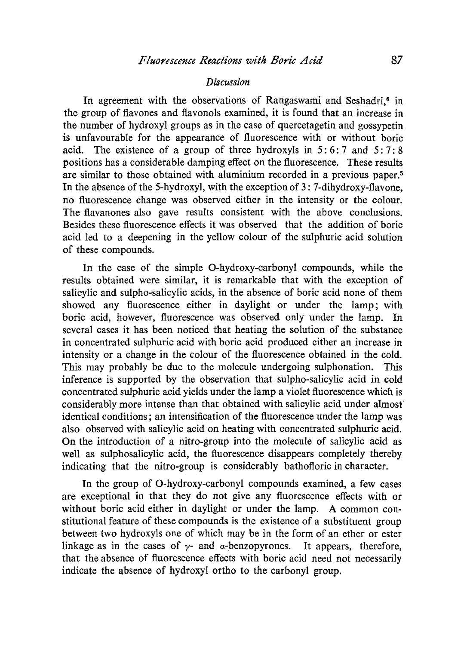#### *Discussion*

In agreement with the observations of Rangaswami and Seshadri $\epsilon$  in the group of flavones and flavonols examined, it is found that an increase in the number of hydroxyl groups as in the case of quercetagetin and gossypetin is unfavourable for the appearance of fluorescence with or without boric acid. The existence of a group of three hydroxyls in  $5:6:7$  and  $5:7:8$ positions has a considerable damping effect on the fluorescence. These results are similar to those obtained with aluminium recorded in a previous paper.<sup>5</sup> In the absence of the 5-hydroxyl, with the exception of  $3: 7$ -dihydroxy-flavone, no fluorescence change was observed either in the intensity or the colour. The flavanones also gave results consistent with the above conclusions. Besides these fluorescence effects it was observed that the addition of boric acid led to a deepening in the yellow colour of the sulphuric acid solution of these compounds.

In the case of the simple O-hydroxy-carbonyl compounds, while the results obtained were similar, it is remarkable that with the exception of salicylic and sulpho-salicylic acids, in the absence of boric acid none of them showed any fluorescence either in daylight or under the lamp; with boric acid, however, fluorescence was observed only under the lamp. In several cases ir has been noticed that heating the solution of the substanee in concentrated sulphuric acid with boric acid produced either an increase in intensity or a change in the colour of the fluorescence obtained in the cold. This may probably be due to the molecule undergoing sulphonation. This inference is supported by the observation that sulpho-salicylic acid in cold concentrated sulphuric acid yields under the lamp a violet fluorescence which is considerably more intense than that 0btained with salicylic acid under almost identical conditions; an intensification of the fluorescence under the lamp was also observed with salicylic acid on heating with concentrated sulphuric acid. On the introduction of a nitro-group into the molecule of salicylic acid as well as sulphosalicylic acid, the fluorescence disappears completely thereby indicating that the nitro-group is considerably bathofloric in character.

In the group of O-hydroxy-carbonyl compounds examined, a few cases are exceptional in that they do not give any fluorescence effects with or without boric acid either in daylight or under the lamp. A common constitutional feature of these compounds is the existence of a substituent group between two hydroxyls one of which may be in the form of ah ether or ester linkage as in the cases of  $\gamma$ - and  $\alpha$ -benzopyrones. It appears, therefore, that the absence of fluorescence effects with boric acid need not necessarily indicate the absence of hydroxyl ortho to the carbonyl group.